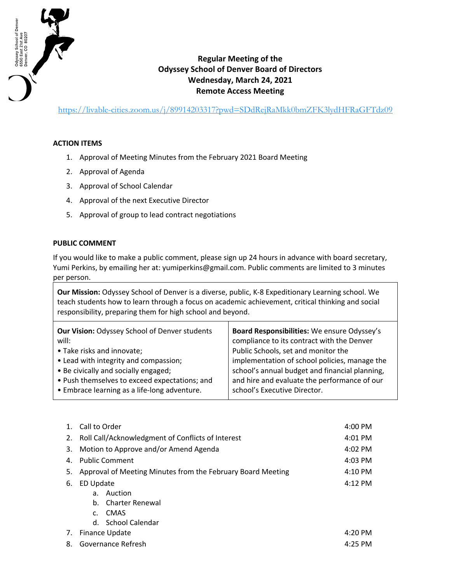

## **Regular Meeting of the Odyssey School of Denver Board of Directors Wednesday, March 24, 2021 Remote Access Meeting**

https://livable-cities.zoom.us/j/89914203317?pwd=SDdRejRaMkk0bmZFK3lydHFRaGFTdz09

## **ACTION ITEMS**

- 1. Approval of Meeting Minutes from the February 2021 Board Meeting
- 2. Approval of Agenda
- 3. Approval of School Calendar
- 4. Approval of the next Executive Director
- 5. Approval of group to lead contract negotiations

## **PUBLIC COMMENT**

If you would like to make a public comment, please sign up 24 hours in advance with board secretary, Yumi Perkins, by emailing her at: yumiperkins@gmail.com. Public comments are limited to 3 minutes per person.

**Our Mission:** Odyssey School of Denver is a diverse, public, K-8 Expeditionary Learning school. We teach students how to learn through a focus on academic achievement, critical thinking and social responsibility, preparing them for high school and beyond.

| <b>Our Vision: Odyssey School of Denver students</b> | Board Responsibilities: We ensure Odyssey's    |
|------------------------------------------------------|------------------------------------------------|
| will:                                                | compliance to its contract with the Denver     |
| • Take risks and innovate;                           | Public Schools, set and monitor the            |
| • Lead with integrity and compassion;                | implementation of school policies, manage the  |
| • Be civically and socially engaged;                 | school's annual budget and financial planning, |
| • Push themselves to exceed expectations; and        | and hire and evaluate the performance of our   |
| • Embrace learning as a life-long adventure.         | school's Executive Director.                   |

|    | Call to Order                                               | $4:00$ PM |
|----|-------------------------------------------------------------|-----------|
| 2. | Roll Call/Acknowledgment of Conflicts of Interest           | $4:01$ PM |
| 3. | Motion to Approve and/or Amend Agenda                       | $4:02$ PM |
| 4. | <b>Public Comment</b>                                       | $4:03$ PM |
| 5. | Approval of Meeting Minutes from the February Board Meeting | $4:10$ PM |
| 6. | ED Update                                                   | $4:12$ PM |
|    | Auction<br>a.                                               |           |
|    | b. Charter Renewal                                          |           |
|    | CMAS<br>$\mathsf{C}$ .                                      |           |
|    | d. School Calendar                                          |           |
| 7. | Finance Update                                              | $4:20$ PM |
| 8. | Governance Refresh                                          | $4:25$ PM |